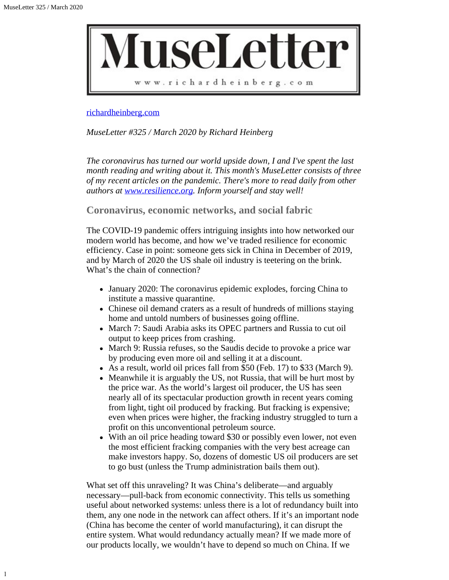1



## [richardheinberg.com](http://richardheinberg.com/)

*MuseLetter #325 / March 2020 by Richard Heinberg*

*The coronavirus has turned our world upside down, I and I've spent the last month reading and writing about it. This month's MuseLetter consists of three of my recent articles on the pandemic. There's more to read daily from other authors at [www.resilience.org](http://www.resilience.org/). Inform yourself and stay well!*

**Coronavirus, economic networks, and social fabric**

The COVID-19 pandemic offers intriguing insights into how networked our modern world has become, and how we've traded resilience for economic efficiency. Case in point: someone gets sick in China in December of 2019, and by March of 2020 the US shale oil industry is teetering on the brink. What's the chain of connection?

- January 2020: The coronavirus epidemic explodes, forcing China to institute a massive quarantine.
- Chinese oil demand craters as a result of hundreds of millions staying home and untold numbers of businesses going offline.
- March 7: Saudi Arabia asks its OPEC partners and Russia to cut oil output to keep prices from crashing.
- March 9: Russia refuses, so the Saudis decide to provoke a price war by producing even more oil and selling it at a discount.
- As a result, world oil prices fall from \$50 (Feb. 17) to \$33 (March 9).
- Meanwhile it is arguably the US, not Russia, that will be hurt most by the price war. As the world's largest oil producer, the US has seen nearly all of its spectacular production growth in recent years coming from light, tight oil produced by fracking. But fracking is expensive; even when prices were higher, the fracking industry struggled to turn a profit on this unconventional petroleum source.
- With an oil price heading toward \$30 or possibly even lower, not even the most efficient fracking companies with the very best acreage can make investors happy. So, dozens of domestic US oil producers are set to go bust (unless the Trump administration bails them out).

What set off this unraveling? It was China's deliberate—and arguably necessary—pull-back from economic connectivity. This tells us something useful about networked systems: unless there is a lot of redundancy built into them, any one node in the network can affect others. If it's an important node (China has become the center of world manufacturing), it can disrupt the entire system. What would redundancy actually mean? If we made more of our products locally, we wouldn't have to depend so much on China. If we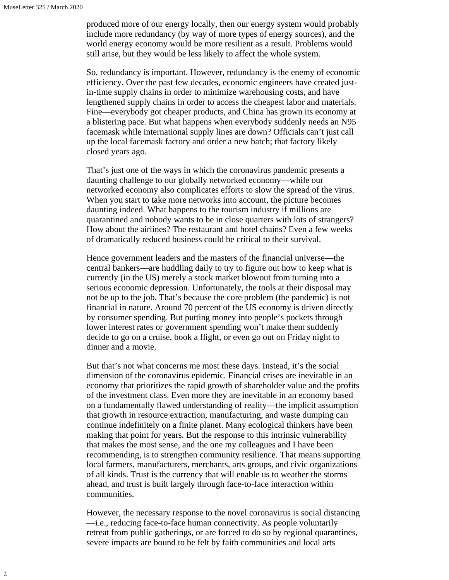produced more of our energy locally, then our energy system would probably include more redundancy (by way of more types of energy sources), and the world energy economy would be more resilient as a result. Problems would still arise, but they would be less likely to affect the whole system.

So, redundancy is important. However, redundancy is the enemy of economic efficiency. Over the past few decades, economic engineers have created justin-time supply chains in order to minimize warehousing costs, and have lengthened supply chains in order to access the cheapest labor and materials. Fine—everybody got cheaper products, and China has grown its economy at a blistering pace. But what happens when everybody suddenly needs an N95 facemask while international supply lines are down? Officials can't just call up the local facemask factory and order a new batch; that factory likely closed years ago.

That's just one of the ways in which the coronavirus pandemic presents a daunting challenge to our globally networked economy—while our networked economy also complicates efforts to slow the spread of the virus. When you start to take more networks into account, the picture becomes daunting indeed. What happens to the tourism industry if millions are quarantined and nobody wants to be in close quarters with lots of strangers? How about the airlines? The restaurant and hotel chains? Even a few weeks of dramatically reduced business could be critical to their survival.

Hence government leaders and the masters of the financial universe—the central bankers—are huddling daily to try to figure out how to keep what is currently (in the US) merely a stock market blowout from turning into a serious economic depression. Unfortunately, the tools at their disposal may not be up to the job. That's because the core problem (the pandemic) is not financial in nature. Around 70 percent of the US economy is driven directly by consumer spending. But putting money into people's pockets through lower interest rates or government spending won't make them suddenly decide to go on a cruise, book a flight, or even go out on Friday night to dinner and a movie.

But that's not what concerns me most these days. Instead, it's the social dimension of the coronavirus epidemic. Financial crises are inevitable in an economy that prioritizes the rapid growth of shareholder value and the profits of the investment class. Even more they are inevitable in an economy based on a fundamentally flawed understanding of reality—the implicit assumption that growth in resource extraction, manufacturing, and waste dumping can continue indefinitely on a finite planet. Many ecological thinkers have been making that point for years. But the response to this intrinsic vulnerability that makes the most sense, and the one my colleagues and I have been recommending, is to strengthen community resilience. That means supporting local farmers, manufacturers, merchants, arts groups, and civic organizations of all kinds. Trust is the currency that will enable us to weather the storms ahead, and trust is built largely through face-to-face interaction within communities.

However, the necessary response to the novel coronavirus is social distancing —i.e., reducing face-to-face human connectivity. As people voluntarily retreat from public gatherings, or are forced to do so by regional quarantines, severe impacts are bound to be felt by faith communities and local arts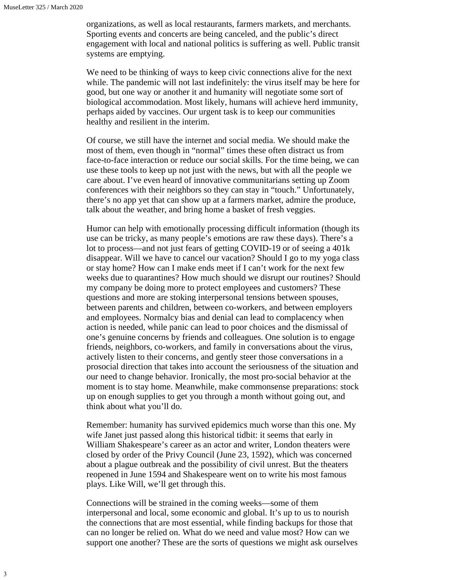organizations, as well as local restaurants, farmers markets, and merchants. Sporting events and concerts are being canceled, and the public's direct engagement with local and national politics is suffering as well. Public transit systems are emptying.

We need to be thinking of ways to keep civic connections alive for the next while. The pandemic will not last indefinitely: the virus itself may be here for good, but one way or another it and humanity will negotiate some sort of biological accommodation. Most likely, humans will achieve herd immunity, perhaps aided by vaccines. Our urgent task is to keep our communities healthy and resilient in the interim.

Of course, we still have the internet and social media. We should make the most of them, even though in "normal" times these often distract us from face-to-face interaction or reduce our social skills. For the time being, we can use these tools to keep up not just with the news, but with all the people we care about. I've even heard of innovative communitarians setting up Zoom conferences with their neighbors so they can stay in "touch." Unfortunately, there's no app yet that can show up at a farmers market, admire the produce, talk about the weather, and bring home a basket of fresh veggies.

Humor can help with emotionally processing difficult information (though its use can be tricky, as many people's emotions are raw these days). There's a lot to process—and not just fears of getting COVID-19 or of seeing a 401k disappear. Will we have to cancel our vacation? Should I go to my yoga class or stay home? How can I make ends meet if I can't work for the next few weeks due to quarantines? How much should we disrupt our routines? Should my company be doing more to protect employees and customers? These questions and more are stoking interpersonal tensions between spouses, between parents and children, between co-workers, and between employers and employees. Normalcy bias and denial can lead to complacency when action is needed, while panic can lead to poor choices and the dismissal of one's genuine concerns by friends and colleagues. One solution is to engage friends, neighbors, co-workers, and family in conversations about the virus, actively listen to their concerns, and gently steer those conversations in a prosocial direction that takes into account the seriousness of the situation and our need to change behavior. Ironically, the most pro-social behavior at the moment is to stay home. Meanwhile, make commonsense preparations: stock up on enough supplies to get you through a month without going out, and think about what you'll do.

Remember: humanity has survived epidemics much worse than this one. My wife Janet just passed along this historical tidbit: it seems that early in William Shakespeare's career as an actor and writer, London theaters were closed by order of the Privy Council (June 23, 1592), which was concerned about a plague outbreak and the possibility of civil unrest. But the theaters reopened in June 1594 and Shakespeare went on to write his most famous plays. Like Will, we'll get through this.

Connections will be strained in the coming weeks—some of them interpersonal and local, some economic and global. It's up to us to nourish the connections that are most essential, while finding backups for those that can no longer be relied on. What do we need and value most? How can we support one another? These are the sorts of questions we might ask ourselves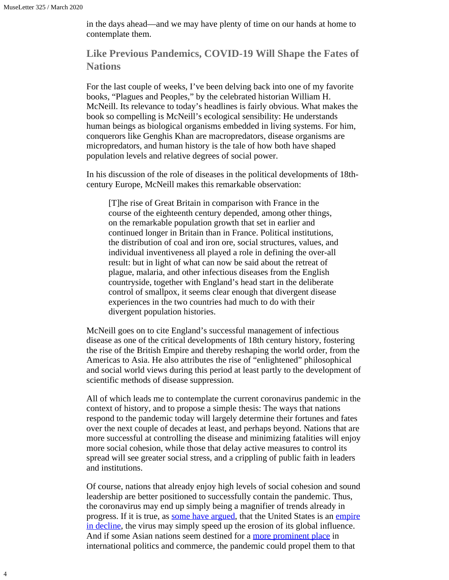4

in the days ahead—and we may have plenty of time on our hands at home to contemplate them.

## **Like Previous Pandemics, COVID-19 Will Shape the Fates of Nations**

For the last couple of weeks, I've been delving back into one of my favorite books, "Plagues and Peoples," by the celebrated historian William H. McNeill. Its relevance to today's headlines is fairly obvious. What makes the book so compelling is McNeill's ecological sensibility: He understands human beings as biological organisms embedded in living systems. For him, conquerors like Genghis Khan are macropredators, disease organisms are micropredators, and human history is the tale of how both have shaped population levels and relative degrees of social power.

In his discussion of the role of diseases in the political developments of 18thcentury Europe, McNeill makes this remarkable observation:

[T]he rise of Great Britain in comparison with France in the course of the eighteenth century depended, among other things, on the remarkable population growth that set in earlier and continued longer in Britain than in France. Political institutions, the distribution of coal and iron ore, social structures, values, and individual inventiveness all played a role in defining the over-all result: but in light of what can now be said about the retreat of plague, malaria, and other infectious diseases from the English countryside, together with England's head start in the deliberate control of smallpox, it seems clear enough that divergent disease experiences in the two countries had much to do with their divergent population histories.

McNeill goes on to cite England's successful management of infectious disease as one of the critical developments of 18th century history, fostering the rise of the British Empire and thereby reshaping the world order, from the Americas to Asia. He also attributes the rise of "enlightened" philosophical and social world views during this period at least partly to the development of scientific methods of disease suppression.

All of which leads me to contemplate the current coronavirus pandemic in the context of history, and to propose a simple thesis: The ways that nations respond to the pandemic today will largely determine their fortunes and fates over the next couple of decades at least, and perhaps beyond. Nations that are more successful at controlling the disease and minimizing fatalities will enjoy more social cohesion, while those that delay active measures to control its spread will see greater social stress, and a crippling of public faith in leaders and institutions.

Of course, nations that already enjoy high levels of social cohesion and sound leadership are better positioned to successfully contain the pandemic. Thus, the coronavirus may end up simply being a magnifier of trends already in progress. If it is true, as [some have argued](https://www.wilsoncenter.org/event/the-rise-and-decline-the-american-empire-power-and-its-limits-comparative-perspective?gclid=EAIaIQobChMIw_Sj6tWi6AIVCdbACh1oaA-aEAAYAiAAEgK-iPD_BwE), that the United States is an [empire](https://www.wilsoncenter.org/event/the-rise-and-decline-the-american-empire-power-and-its-limits-comparative-perspective?gclid=EAIaIQobChMIw_Sj6tWi6AIVCdbACh1oaA-aEAAYAiAAEgK-iPD_BwE) [in decline,](https://www.wilsoncenter.org/event/the-rise-and-decline-the-american-empire-power-and-its-limits-comparative-perspective?gclid=EAIaIQobChMIw_Sj6tWi6AIVCdbACh1oaA-aEAAYAiAAEgK-iPD_BwE) the virus may simply speed up the erosion of its global influence. And if some Asian nations seem destined for a [more prominent place](https://www.ft.com/content/520cb6f6-2958-11e9-a5ab-ff8ef2b976c7) in international politics and commerce, the pandemic could propel them to that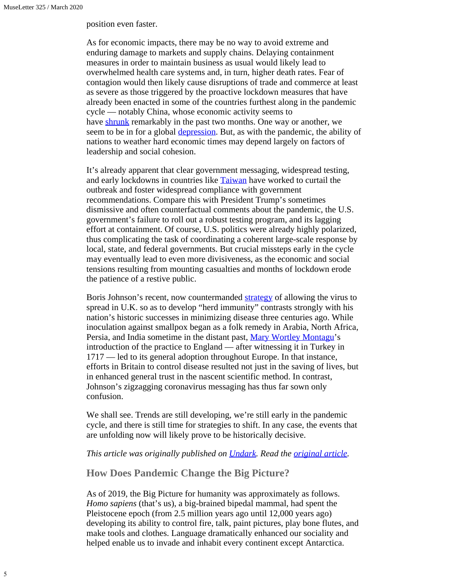position even faster.

As for economic impacts, there may be no way to avoid extreme and enduring damage to markets and supply chains. Delaying containment measures in order to maintain business as usual would likely lead to overwhelmed health care systems and, in turn, higher death rates. Fear of contagion would then likely cause disruptions of trade and commerce at least as severe as those triggered by the proactive lockdown measures that have already been enacted in some of the countries furthest along in the pandemic cycle — notably China, whose economic activity seems to have [shrunk](https://www.nytimes.com/2020/03/16/business/coronavirus-china-economy.html) remarkably in the past two months. One way or another, we seem to be in for a global [depression](https://www.ccn.com/stock-market-crash-so-bad-start-new-great-depression/). But, as with the pandemic, the ability of nations to weather hard economic times may depend largely on factors of leadership and social cohesion.

It's already apparent that clear government messaging, widespread testing, and early lockdowns in countries like **[Taiwan](https://www.businessinsider.com/coronavirus-taiwan-case-study-rapid-response-containment-2020-3)** have worked to curtail the outbreak and foster widespread compliance with government recommendations. Compare this with President Trump's sometimes dismissive and often counterfactual comments about the pandemic, the U.S. government's failure to roll out a robust testing program, and its lagging effort at containment. Of course, U.S. politics were already highly polarized, thus complicating the task of coordinating a coherent large-scale response by local, state, and federal governments. But crucial missteps early in the cycle may eventually lead to even more divisiveness, as the economic and social tensions resulting from mounting casualties and months of lockdown erode the patience of a restive public.

Boris Johnson's recent, now countermanded [strategy](https://www.theatlantic.com/health/archive/2020/03/coronavirus-pandemic-herd-immunity-uk-boris-johnson/608065/) of allowing the virus to spread in U.K. so as to develop "herd immunity" contrasts strongly with his nation's historic successes in minimizing disease three centuries ago. While inoculation against smallpox began as a folk remedy in Arabia, North Africa, Persia, and India sometime in the distant past, [Mary Wortley Montagu](https://time.com/5542895/mary-montagu-smallpox/)'s introduction of the practice to England — after witnessing it in Turkey in 1717 — led to its general adoption throughout Europe. In that instance, efforts in Britain to control disease resulted not just in the saving of lives, but in enhanced general trust in the nascent scientific method. In contrast, Johnson's zigzagging coronavirus messaging has thus far sown only confusion.

We shall see. Trends are still developing, we're still early in the pandemic cycle, and there is still time for strategies to shift. In any case, the events that are unfolding now will likely prove to be historically decisive.

## *This article was originally published on [Undark](https://undark.org/). Read the [original article](https://undark.org/2020/03/20/pandemic-shape-nations/).*

## **How Does Pandemic Change the Big Picture?**

As of 2019, the Big Picture for humanity was approximately as follows. *Homo sapiens* (that's us), a big-brained bipedal mammal, had spent the Pleistocene epoch (from 2.5 million years ago until 12,000 years ago) developing its ability to control fire, talk, paint pictures, play bone flutes, and make tools and clothes. Language dramatically enhanced our sociality and helped enable us to invade and inhabit every continent except Antarctica.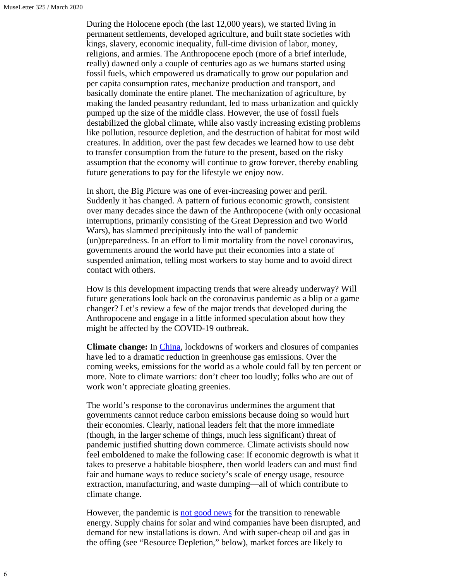During the Holocene epoch (the last 12,000 years), we started living in permanent settlements, developed agriculture, and built state societies with kings, slavery, economic inequality, full-time division of labor, money, religions, and armies. The Anthropocene epoch (more of a brief interlude, really) dawned only a couple of centuries ago as we humans started using fossil fuels, which empowered us dramatically to grow our population and per capita consumption rates, mechanize production and transport, and basically dominate the entire planet. The mechanization of agriculture, by making the landed peasantry redundant, led to mass urbanization and quickly pumped up the size of the middle class. However, the use of fossil fuels destabilized the global climate, while also vastly increasing existing problems like pollution, resource depletion, and the destruction of habitat for most wild creatures. In addition, over the past few decades we learned how to use debt to transfer consumption from the future to the present, based on the risky assumption that the economy will continue to grow forever, thereby enabling future generations to pay for the lifestyle we enjoy now.

In short, the Big Picture was one of ever-increasing power and peril. Suddenly it has changed. A pattern of furious economic growth, consistent over many decades since the dawn of the Anthropocene (with only occasional interruptions, primarily consisting of the Great Depression and two World Wars), has slammed precipitously into the wall of pandemic (un)preparedness. In an effort to limit mortality from the novel coronavirus, governments around the world have put their economies into a state of suspended animation, telling most workers to stay home and to avoid direct contact with others.

How is this development impacting trends that were already underway? Will future generations look back on the coronavirus pandemic as a blip or a game changer? Let's review a few of the major trends that developed during the Anthropocene and engage in a little informed speculation about how they might be affected by the COVID-19 outbreak.

**Climate change:** In [China](https://www.energylivenews.com/2020/03/17/nasa-says-covid-19-lockdown-slashes-air-pollution-in-china/), lockdowns of workers and closures of companies have led to a dramatic reduction in greenhouse gas emissions. Over the coming weeks, emissions for the world as a whole could fall by ten percent or more. Note to climate warriors: don't cheer too loudly; folks who are out of work won't appreciate gloating greenies.

The world's response to the coronavirus undermines the argument that governments cannot reduce carbon emissions because doing so would hurt their economies. Clearly, national leaders felt that the more immediate (though, in the larger scheme of things, much less significant) threat of pandemic justified shutting down commerce. Climate activists should now feel emboldened to make the following case: If economic degrowth is what it takes to preserve a habitable biosphere, then world leaders can and must find fair and humane ways to reduce society's scale of energy usage, resource extraction, manufacturing, and waste dumping—all of which contribute to climate change.

However, the pandemic is [not good news](https://www.energylivenews.com/2020/03/13/coronavirus-triggers-domino-effect-on-clean-economy/) for the transition to renewable energy. Supply chains for solar and wind companies have been disrupted, and demand for new installations is down. And with super-cheap oil and gas in the offing (see "Resource Depletion," below), market forces are likely to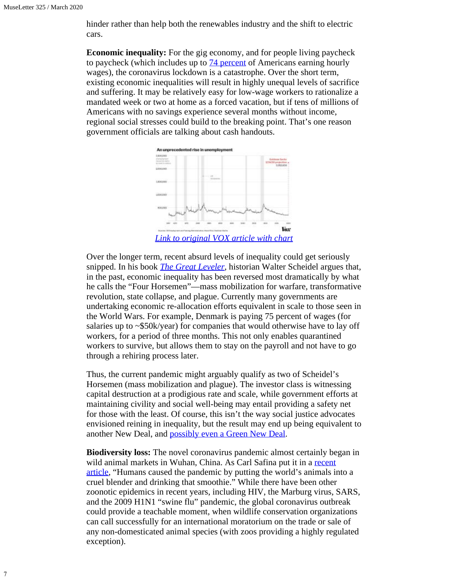hinder rather than help both the renewables industry and the shift to electric cars.

**Economic inequality:** For the gig economy, and for people living paycheck to paycheck (which includes up to  $\frac{74}{9}$  percent of Americans earning hourly wages), the coronavirus lockdown is a catastrophe. Over the short term, existing economic inequalities will result in highly unequal levels of sacrifice and suffering. It may be relatively easy for low-wage workers to rationalize a mandated week or two at home as a forced vacation, but if tens of millions of Americans with no savings experience several months without income, regional social stresses could build to the breaking point. That's one reason government officials are talking about cash handouts.



Over the longer term, recent absurd levels of inequality could get seriously snipped. In his book *[The Great Leveler](https://press.princeton.edu/books/paperback/9780691183251/great-leveler),* historian Walter Scheidel argues that, in the past, economic inequality has been reversed most dramatically by what he calls the "Four Horsemen"—mass mobilization for warfare, transformative revolution, state collapse, and plague. Currently many governments are undertaking economic re-allocation efforts equivalent in scale to those seen in the World Wars. For example, Denmark is paying 75 percent of wages (for salaries up to ~\$50k/year) for companies that would otherwise have to lay off workers, for a period of three months. This not only enables quarantined workers to survive, but allows them to stay on the payroll and not have to go through a rehiring process later.

Thus, the current pandemic might arguably qualify as two of Scheidel's Horsemen (mass mobilization and plague). The investor class is witnessing capital destruction at a prodigious rate and scale, while government efforts at maintaining civility and social well-being may entail providing a safety net for those with the least. Of course, this isn't the way social justice advocates envisioned reining in inequality, but the result may end up being equivalent to another New Deal, and [possibly even a Green New Deal](https://newrepublic.com/article/156962/green-jobs-answer-coronavirus-recession).

**Biodiversity loss:** The novel coronavirus pandemic almost certainly began in wild animal markets in Wuhan, China. As Carl Safina put it in a [recent](https://medium.com/@carlsafina/covid-19-is-a-wake-up-call-dont-hit-snooze-9aa7de13aa9a) [article](https://medium.com/@carlsafina/covid-19-is-a-wake-up-call-dont-hit-snooze-9aa7de13aa9a), "Humans caused the pandemic by putting the world's animals into a cruel blender and drinking that smoothie." While there have been other zoonotic epidemics in recent years, including HIV, the Marburg virus, SARS, and the 2009 H1N1 "swine flu" pandemic, the global coronavirus outbreak could provide a teachable moment, when wildlife conservation organizations can call successfully for an international moratorium on the trade or sale of any non-domesticated animal species (with zoos providing a highly regulated exception).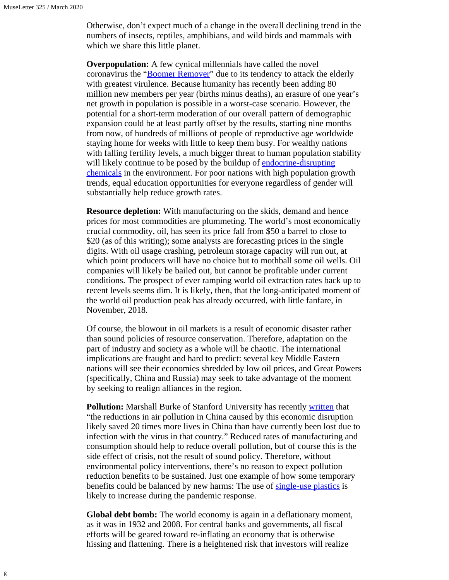Otherwise, don't expect much of a change in the overall declining trend in the numbers of insects, reptiles, amphibians, and wild birds and mammals with which we share this little planet.

**Overpopulation:** A few cynical millennials have called the novel coronavirus the "[Boomer Remover"](https://nypost.com/2020/03/19/morbid-boomer-remover-coronavirus-meme-only-makes-millennials-seem-more-awful/) due to its tendency to attack the elderly with greatest virulence. Because humanity has recently been adding 80 million new members per year (births minus deaths), an erasure of one year's net growth in population is possible in a worst-case scenario. However, the potential for a short-term moderation of our overall pattern of demographic expansion could be at least partly offset by the results, starting nine months from now, of hundreds of millions of people of reproductive age worldwide staying home for weeks with little to keep them busy. For wealthy nations with falling fertility levels, a much bigger threat to human population stability will likely continue to be posed by the buildup of [endocrine-disrupting](https://www.gmo.com/americas/research-library/chemical-toxicity-and-the-baby-bust/) [chemicals](https://www.gmo.com/americas/research-library/chemical-toxicity-and-the-baby-bust/) in the environment. For poor nations with high population growth trends, equal education opportunities for everyone regardless of gender will substantially help reduce growth rates.

**Resource depletion:** With manufacturing on the skids, demand and hence prices for most commodities are plummeting. The world's most economically crucial commodity, oil, has seen its price fall from \$50 a barrel to close to \$20 (as of this writing); some analysts are forecasting prices in the single digits. With oil usage crashing, petroleum storage capacity will run out, at which point producers will have no choice but to mothball some oil wells. Oil companies will likely be bailed out, but cannot be profitable under current conditions. The prospect of ever ramping world oil extraction rates back up to recent levels seems dim. It is likely, then, that the long-anticipated moment of the world oil production peak has already occurred, with little fanfare, in November, 2018.

Of course, the blowout in oil markets is a result of economic disaster rather than sound policies of resource conservation. Therefore, adaptation on the part of industry and society as a whole will be chaotic. The international implications are fraught and hard to predict: several key Middle Eastern nations will see their economies shredded by low oil prices, and Great Powers (specifically, China and Russia) may seek to take advantage of the moment by seeking to realign alliances in the region.

**Pollution:** Marshall Burke of Stanford University has recently [written](http://www.g-feed.com/2020/03/covid-19-reduces-economic-activity.html) that "the reductions in air pollution in China caused by this economic disruption likely saved 20 times more lives in China than have currently been lost due to infection with the virus in that country." Reduced rates of manufacturing and consumption should help to reduce overall pollution, but of course this is the side effect of crisis, not the result of sound policy. Therefore, without environmental policy interventions, there's no reason to expect pollution reduction benefits to be sustained. Just one example of how some temporary benefits could be balanced by new harms: The use of [single-use plastics](https://www.plasticstoday.com/medical/could-single-use-plastics-help-prevent-pandemic/203183354362486) is likely to increase during the pandemic response.

**Global debt bomb:** The world economy is again in a deflationary moment, as it was in 1932 and 2008. For central banks and governments, all fiscal efforts will be geared toward re-inflating an economy that is otherwise hissing and flattening. There is a heightened risk that investors will realize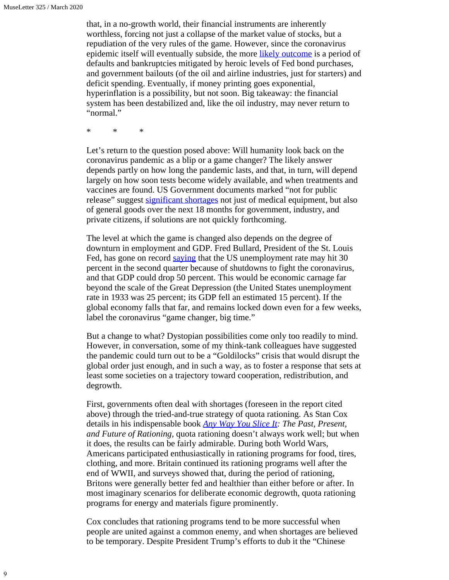that, in a no-growth world, their financial instruments are inherently worthless, forcing not just a collapse of the market value of stocks, but a repudiation of the very rules of the game. However, since the coronavirus epidemic itself will eventually subside, the more [likely outcome](https://www.newsclick.in/what-will-post-coronavirus-global-economy-look) is a period of defaults and bankruptcies mitigated by heroic levels of Fed bond purchases, and government bailouts (of the oil and airline industries, just for starters) and deficit spending. Eventually, if money printing goes exponential, hyperinflation is a possibility, but not soon. Big takeaway: the financial system has been destabilized and, like the oil industry, may never return to "normal."

\* \* \*

Let's return to the question posed above: Will humanity look back on the coronavirus pandemic as a blip or a game changer? The likely answer depends partly on how long the pandemic lasts, and that, in turn, will depend largely on how soon tests become widely available, and when treatments and vaccines are found. US Government documents marked "not for public release" suggest [significant shortages](https://www.dailykos.com/stories/2020/3/18/1928623/-Reports-reveal-what-officials-are-being-told-about-COVID-19-and-it-s-not-what-they-are-telling-us) not just of medical equipment, but also of general goods over the next 18 months for government, industry, and private citizens, if solutions are not quickly forthcoming.

The level at which the game is changed also depends on the degree of downturn in employment and GDP. Fred Bullard, President of the St. Louis Fed, has gone on record [saying](https://www.zerohedge.com/markets/feds-bullard-warns-unemployment-may-soar-30-gdp-crash-50-q2) that the US unemployment rate may hit 30 percent in the second quarter because of shutdowns to fight the coronavirus, and that GDP could drop 50 percent. This would be economic carnage far beyond the scale of the Great Depression (the United States unemployment rate in 1933 was 25 percent; its GDP fell an estimated 15 percent). If the global economy falls that far, and remains locked down even for a few weeks, label the coronavirus "game changer, big time."

But a change to what? Dystopian possibilities come only too readily to mind. However, in conversation, some of my think-tank colleagues have suggested the pandemic could turn out to be a "Goldilocks" crisis that would disrupt the global order just enough, and in such a way, as to foster a response that sets at least some societies on a trajectory toward cooperation, redistribution, and degrowth.

First, governments often deal with shortages (foreseen in the report cited above) through the tried-and-true strategy of quota rationing. As Stan Cox details in his indispensable book *[Any Way You Slice It](https://thenewpress.com/books/any-way-you-slice-it): The Past, Present, and Future of Rationing,* quota rationing doesn't always work well; but when it does, the results can be fairly admirable. During both World Wars, Americans participated enthusiastically in rationing programs for food, tires, clothing, and more. Britain continued its rationing programs well after the end of WWII, and surveys showed that, during the period of rationing, Britons were generally better fed and healthier than either before or after. In most imaginary scenarios for deliberate economic degrowth, quota rationing programs for energy and materials figure prominently.

Cox concludes that rationing programs tend to be more successful when people are united against a common enemy, and when shortages are believed to be temporary. Despite President Trump's efforts to dub it the "Chinese